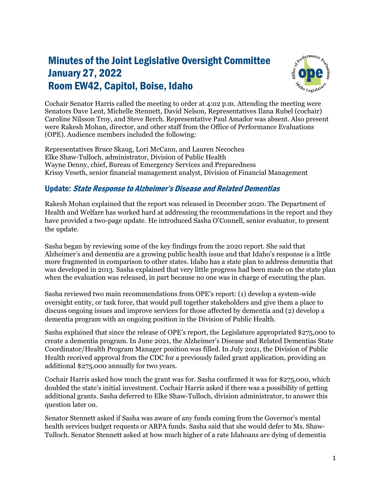## Minutes of the Joint Legislative Oversight Committee January 27, 2022 Room EW42, Capitol, Boise, Idaho



Cochair Senator Harris called the meeting to order at 4:02 p.m. Attending the meeting were Senators Dave Lent, Michelle Stennett, David Nelson, Representatives Ilana Rubel (cochair) Caroline Nilsson Troy, and Steve Berch. Representative Paul Amador was absent. Also present were Rakesh Mohan, director, and other staff from the Office of Performance Evaluations (OPE). Audience members included the following:

Representatives Bruce Skaug, Lori McCann, and Lauren Necochea Elke Shaw-Tulloch, administrator, Division of Public Health Wayne Denny, chief, Bureau of Emergency Services and Preparedness Krissy Veseth, senior financial management analyst, Division of Financial Management

## Update: State Response to Alzheimer's Disease and Related Dementias

Rakesh Mohan explained that the report was released in December 2020. The Department of Health and Welfare has worked hard at addressing the recommendations in the report and they have provided a two-page update. He introduced Sasha O'Connell, senior evaluator, to present the update.

Sasha began by reviewing some of the key findings from the 2020 report. She said that Alzheimer's and dementia are a growing public health issue and that Idaho's response is a little more fragmented in comparison to other states. Idaho has a state plan to address dementia that was developed in 2013. Sasha explained that very little progress had been made on the state plan when the evaluation was released, in part because no one was in charge of executing the plan.

Sasha reviewed two main recommendations from OPE's report: (1) develop a system-wide oversight entity, or task force, that would pull together stakeholders and give them a place to discuss ongoing issues and improve services for those affected by dementia and (2) develop a dementia program with an ongoing position in the Division of Public Health.

Sasha explained that since the release of OPE's report, the Legislature appropriated \$275,000 to create a dementia program. In June 2021, the Alzheimer's Disease and Related Dementias State Coordinator/Health Program Manager position was filled. In July 2021, the Division of Public Health received approval from the CDC for a previously failed grant application, providing an additional \$275,000 annually for two years.

Cochair Harris asked how much the grant was for. Sasha confirmed it was for \$275,000, which doubled the state's initial investment. Cochair Harris asked if there was a possibility of getting additional grants. Sasha deferred to Elke Shaw-Tulloch, division administrator, to answer this question later on.

Senator Stennett asked if Sasha was aware of any funds coming from the Governor's mental health services budget requests or ARPA funds. Sasha said that she would defer to Ms. Shaw-Tulloch. Senator Stennett asked at how much higher of a rate Idahoans are dying of dementia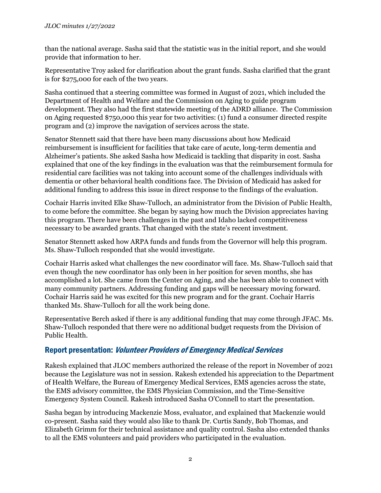than the national average. Sasha said that the statistic was in the initial report, and she would provide that information to her.

Representative Troy asked for clarification about the grant funds. Sasha clarified that the grant is for \$275,000 for each of the two years.

Sasha continued that a steering committee was formed in August of 2021, which included the Department of Health and Welfare and the Commission on Aging to guide program development. They also had the first statewide meeting of the ADRD alliance. The Commission on Aging requested \$750,000 this year for two activities: (1) fund a consumer directed respite program and (2) improve the navigation of services across the state.

Senator Stennett said that there have been many discussions about how Medicaid reimbursement is insufficient for facilities that take care of acute, long-term dementia and Alzheimer's patients. She asked Sasha how Medicaid is tackling that disparity in cost. Sasha explained that one of the key findings in the evaluation was that the reimbursement formula for residential care facilities was not taking into account some of the challenges individuals with dementia or other behavioral health conditions face. The Division of Medicaid has asked for additional funding to address this issue in direct response to the findings of the evaluation.

Cochair Harris invited Elke Shaw-Tulloch, an administrator from the Division of Public Health, to come before the committee. She began by saying how much the Division appreciates having this program. There have been challenges in the past and Idaho lacked competitiveness necessary to be awarded grants. That changed with the state's recent investment.

Senator Stennett asked how ARPA funds and funds from the Governor will help this program. Ms. Shaw-Tulloch responded that she would investigate.

Cochair Harris asked what challenges the new coordinator will face. Ms. Shaw-Tulloch said that even though the new coordinator has only been in her position for seven months, she has accomplished a lot. She came from the Center on Aging, and she has been able to connect with many community partners. Addressing funding and gaps will be necessary moving forward. Cochair Harris said he was excited for this new program and for the grant. Cochair Harris thanked Ms. Shaw-Tulloch for all the work being done.

Representative Berch asked if there is any additional funding that may come through JFAC. Ms. Shaw-Tulloch responded that there were no additional budget requests from the Division of Public Health.

## Report presentation: Volunteer Providers of Emergency Medical Services

Rakesh explained that JLOC members authorized the release of the report in November of 2021 because the Legislature was not in session. Rakesh extended his appreciation to the Department of Health Welfare, the Bureau of Emergency Medical Services, EMS agencies across the state, the EMS advisory committee, the EMS Physician Commission, and the Time-Sensitive Emergency System Council. Rakesh introduced Sasha O'Connell to start the presentation.

Sasha began by introducing Mackenzie Moss, evaluator, and explained that Mackenzie would co-present. Sasha said they would also like to thank Dr. Curtis Sandy, Bob Thomas, and Elizabeth Grimm for their technical assistance and quality control. Sasha also extended thanks to all the EMS volunteers and paid providers who participated in the evaluation.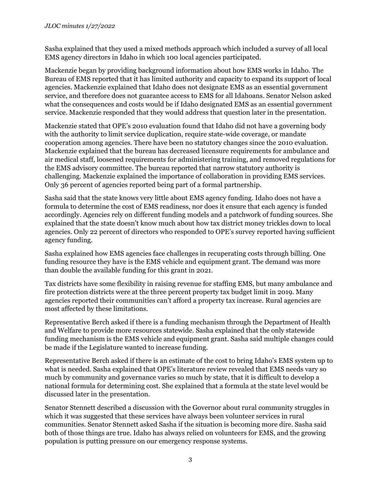Sasha explained that they used a mixed methods approach which included a survey of all local EMS agency directors in Idaho in which 100 local agencies participated.

Mackenzie began by providing background information about how EMS works in Idaho. The Bureau of EMS reported that it has limited authority and capacity to expand its support of local agencies. Mackenzie explained that Idaho does not designate EMS as an essential government service, and therefore does not guarantee access to EMS for all Idahoans. Senator Nelson asked what the consequences and costs would be if Idaho designated EMS as an essential government service. Mackenzie responded that they would address that question later in the presentation.

Mackenzie stated that OPE's 2010 evaluation found that Idaho did not have a governing body with the authority to limit service duplication, require state-wide coverage, or mandate cooperation among agencies. There have been no statutory changes since the 2010 evaluation. Mackenzie explained that the bureau has decreased licensure requirements for ambulance and air medical staff, loosened requirements for administering training, and removed regulations for the EMS advisory committee. The bureau reported that narrow statutory authority is challenging. Mackenzie explained the importance of collaboration in providing EMS services. Only 36 percent of agencies reported being part of a formal partnership.

Sasha said that the state knows very little about EMS agency funding. Idaho does not have a formula to determine the cost of EMS readiness, nor does it ensure that each agency is funded accordingly. Agencies rely on different funding models and a patchwork of funding sources. She explained that the state doesn't know much about how tax district money trickles down to local agencies. Only 22 percent of directors who responded to OPE's survey reported having sufficient agency funding.

Sasha explained how EMS agencies face challenges in recuperating costs through billing. One funding resource they have is the EMS vehicle and equipment grant. The demand was more than double the available funding for this grant in 2021.

Tax districts have some flexibility in raising revenue for staffing EMS, but many ambulance and fire protection districts were at the three percent property tax budget limit in 2019. Many agencies reported their communities can't afford a property tax increase. Rural agencies are most affected by these limitations.

Representative Berch asked if there is a funding mechanism through the Department of Health and Welfare to provide more resources statewide. Sasha explained that the only statewide funding mechanism is the EMS vehicle and equipment grant. Sasha said multiple changes could be made if the Legislature wanted to increase funding.

Representative Berch asked if there is an estimate of the cost to bring Idaho's EMS system up to what is needed. Sasha explained that OPE's literature review revealed that EMS needs vary so much by community and governance varies so much by state, that it is difficult to develop a national formula for determining cost. She explained that a formula at the state level would be discussed later in the presentation.

Senator Stennett described a discussion with the Governor about rural community struggles in which it was suggested that these services have always been volunteer services in rural communities. Senator Stennett asked Sasha if the situation is becoming more dire. Sasha said both of those things are true. Idaho has always relied on volunteers for EMS, and the growing population is putting pressure on our emergency response systems.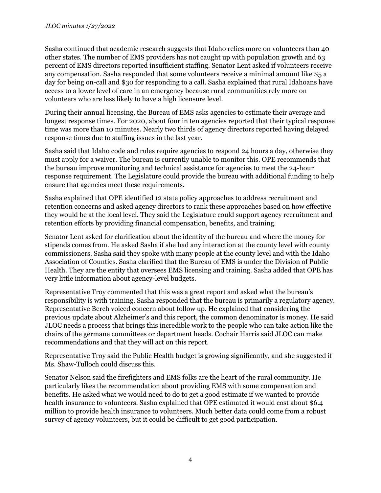Sasha continued that academic research suggests that Idaho relies more on volunteers than 40 other states. The number of EMS providers has not caught up with population growth and 63 percent of EMS directors reported insufficient staffing. Senator Lent asked if volunteers receive any compensation. Sasha responded that some volunteers receive a minimal amount like \$5 a day for being on-call and \$30 for responding to a call. Sasha explained that rural Idahoans have access to a lower level of care in an emergency because rural communities rely more on volunteers who are less likely to have a high licensure level.

During their annual licensing, the Bureau of EMS asks agencies to estimate their average and longest response times. For 2020, about four in ten agencies reported that their typical response time was more than 10 minutes. Nearly two thirds of agency directors reported having delayed response times due to staffing issues in the last year.

Sasha said that Idaho code and rules require agencies to respond 24 hours a day, otherwise they must apply for a waiver. The bureau is currently unable to monitor this. OPE recommends that the bureau improve monitoring and technical assistance for agencies to meet the 24-hour response requirement. The Legislature could provide the bureau with additional funding to help ensure that agencies meet these requirements.

Sasha explained that OPE identified 12 state policy approaches to address recruitment and retention concerns and asked agency directors to rank these approaches based on how effective they would be at the local level. They said the Legislature could support agency recruitment and retention efforts by providing financial compensation, benefits, and training.

Senator Lent asked for clarification about the identity of the bureau and where the money for stipends comes from. He asked Sasha if she had any interaction at the county level with county commissioners. Sasha said they spoke with many people at the county level and with the Idaho Association of Counties. Sasha clarified that the Bureau of EMS is under the Division of Public Health. They are the entity that oversees EMS licensing and training. Sasha added that OPE has very little information about agency-level budgets.

Representative Troy commented that this was a great report and asked what the bureau's responsibility is with training. Sasha responded that the bureau is primarily a regulatory agency. Representative Berch voiced concern about follow up. He explained that considering the previous update about Alzheimer's and this report, the common denominator is money. He said JLOC needs a process that brings this incredible work to the people who can take action like the chairs of the germane committees or department heads. Cochair Harris said JLOC can make recommendations and that they will act on this report.

Representative Troy said the Public Health budget is growing significantly, and she suggested if Ms. Shaw-Tulloch could discuss this.

Senator Nelson said the firefighters and EMS folks are the heart of the rural community. He particularly likes the recommendation about providing EMS with some compensation and benefits. He asked what we would need to do to get a good estimate if we wanted to provide health insurance to volunteers. Sasha explained that OPE estimated it would cost about \$6.4 million to provide health insurance to volunteers. Much better data could come from a robust survey of agency volunteers, but it could be difficult to get good participation.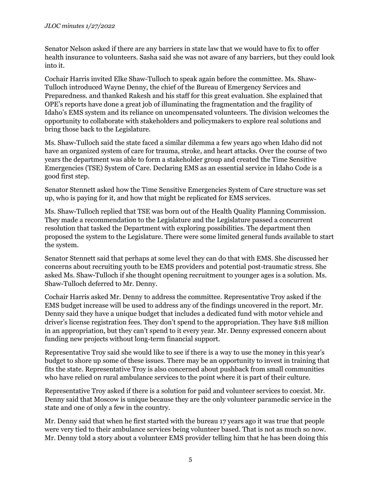Senator Nelson asked if there are any barriers in state law that we would have to fix to offer health insurance to volunteers. Sasha said she was not aware of any barriers, but they could look into it.

Cochair Harris invited Elke Shaw-Tulloch to speak again before the committee. Ms. Shaw-Tulloch introduced Wayne Denny, the chief of the Bureau of Emergency Services and Preparedness. and thanked Rakesh and his staff for this great evaluation. She explained that OPE's reports have done a great job of illuminating the fragmentation and the fragility of Idaho's EMS system and its reliance on uncompensated volunteers. The division welcomes the opportunity to collaborate with stakeholders and policymakers to explore real solutions and bring those back to the Legislature.

Ms. Shaw-Tulloch said the state faced a similar dilemma a few years ago when Idaho did not have an organized system of care for trauma, stroke, and heart attacks. Over the course of two years the department was able to form a stakeholder group and created the Time Sensitive Emergencies (TSE) System of Care. Declaring EMS as an essential service in Idaho Code is a good first step.

Senator Stennett asked how the Time Sensitive Emergencies System of Care structure was set up, who is paying for it, and how that might be replicated for EMS services.

Ms. Shaw-Tulloch replied that TSE was born out of the Health Quality Planning Commission. They made a recommendation to the Legislature and the Legislature passed a concurrent resolution that tasked the Department with exploring possibilities. The department then proposed the system to the Legislature. There were some limited general funds available to start the system.

Senator Stennett said that perhaps at some level they can do that with EMS. She discussed her concerns about recruiting youth to be EMS providers and potential post-traumatic stress. She asked Ms. Shaw-Tulloch if she thought opening recruitment to younger ages is a solution. Ms. Shaw-Tulloch deferred to Mr. Denny.

Cochair Harris asked Mr. Denny to address the committee. Representative Troy asked if the EMS budget increase will be used to address any of the findings uncovered in the report. Mr. Denny said they have a unique budget that includes a dedicated fund with motor vehicle and driver's license registration fees. They don't spend to the appropriation. They have \$18 million in an appropriation, but they can't spend to it every year. Mr. Denny expressed concern about funding new projects without long-term financial support.

Representative Troy said she would like to see if there is a way to use the money in this year's budget to shore up some of these issues. There may be an opportunity to invest in training that fits the state. Representative Troy is also concerned about pushback from small communities who have relied on rural ambulance services to the point where it is part of their culture.

Representative Troy asked if there is a solution for paid and volunteer services to coexist. Mr. Denny said that Moscow is unique because they are the only volunteer paramedic service in the state and one of only a few in the country.

Mr. Denny said that when he first started with the bureau 17 years ago it was true that people were very tied to their ambulance services being volunteer based. That is not as much so now. Mr. Denny told a story about a volunteer EMS provider telling him that he has been doing this